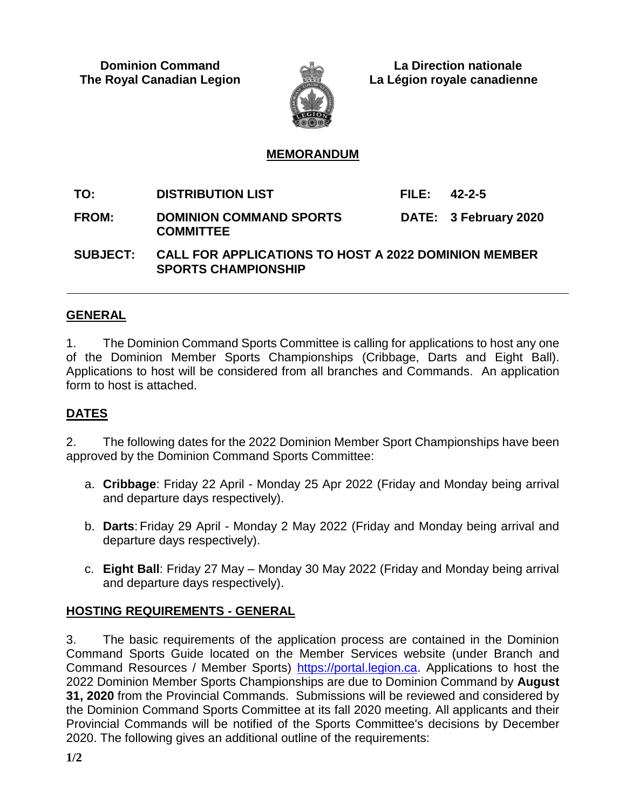

 **Dominion Command La Direction nationale The Royal Canadian Legion La Légion royale canadienne**

## **MEMORANDUM**

**TO: DISTRIBUTION LIST FILE: 42-2-5 FROM: DOMINION COMMAND SPORTS COMMITTEE DATE: 3 February 2020**

**SUBJECT: CALL FOR APPLICATIONS TO HOST A 2022 DOMINION MEMBER SPORTS CHAMPIONSHIP**

## **GENERAL**

1. The Dominion Command Sports Committee is calling for applications to host any one of the Dominion Member Sports Championships (Cribbage, Darts and Eight Ball). Applications to host will be considered from all branches and Commands. An application form to host is attached.

# **DATES**

2. The following dates for the 2022 Dominion Member Sport Championships have been approved by the Dominion Command Sports Committee:

- a. **Cribbage**: Friday 22 April Monday 25 Apr 2022 (Friday and Monday being arrival and departure days respectively).
- b. **Darts**: Friday 29 April Monday 2 May 2022 (Friday and Monday being arrival and departure days respectively).
- c. **Eight Ball**: Friday 27 May Monday 30 May 2022 (Friday and Monday being arrival and departure days respectively).

# **HOSTING REQUIREMENTS - GENERAL**

3. The basic requirements of the application process are contained in the Dominion Command Sports Guide located on the Member Services website (under Branch and Command Resources / Member Sports) [https://portal.legion.ca.](https://portal.legion.ca/) Applications to host the 2022 Dominion Member Sports Championships are due to Dominion Command by **August 31, 2020** from the Provincial Commands. Submissions will be reviewed and considered by the Dominion Command Sports Committee at its fall 2020 meeting. All applicants and their Provincial Commands will be notified of the Sports Committee's decisions by December 2020. The following gives an additional outline of the requirements: